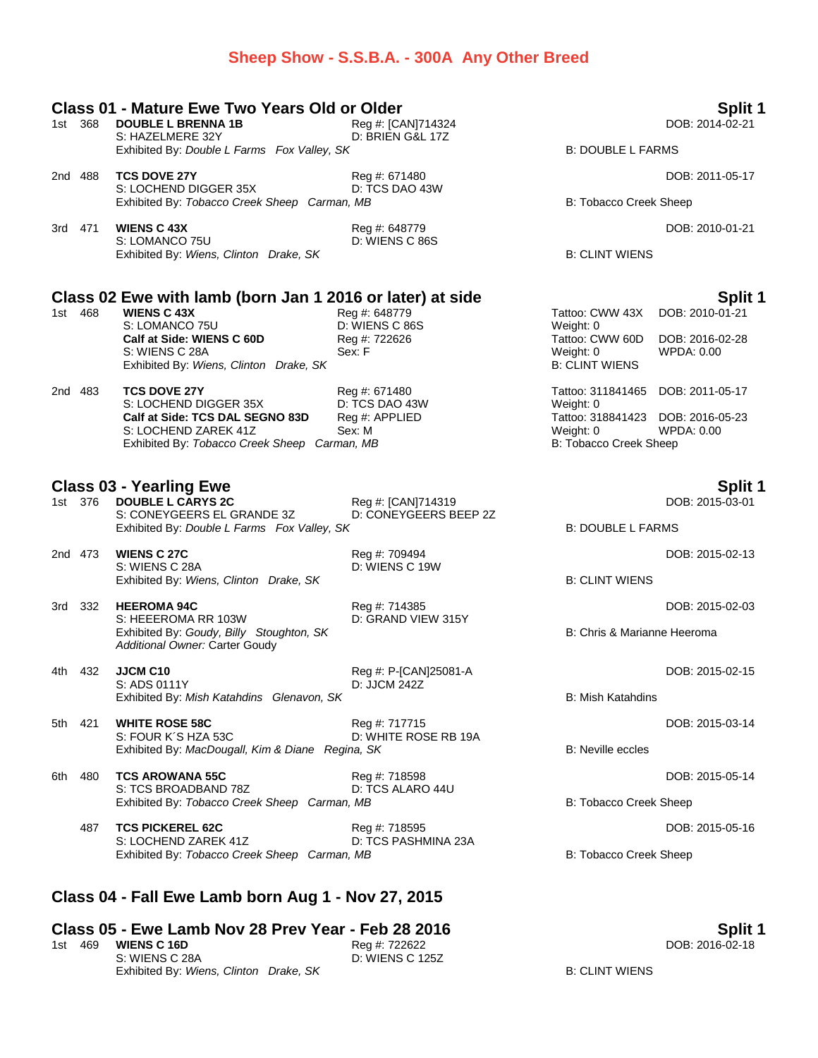#### **Sheep Show - S.S.B.A. - 300A Any Other Breed**

### **Class 01 - Mature Ewe Two Years Old or Older Split 1** 1st 368 **DOUBLE L BRENNA 1B** Reg #: [CAN]714324 S: HAZELMERE 32Y D: BRIEN G&L 17Z Exhibited By: *Double L Farms Fox Valley, SK* B: DOUBLE L FARMS 2nd 488 **TCS DOVE 27Y** Reg #: 671480 DOB: 2011-05-17 S: LOCHEND DIGGER 35X D: TCS DAO 43W Exhibited By: Tobacco Creek Sheep Carman, MB B: Tobacco Creek Sheep Carman, MB 3rd 471 **WIENS C 43X** Reg #: 648779 DOB: 2010-01-21 D: WIENS C 86S Exhibited By: *Wiens, Clinton Drake, SK* B: CLINT WIENS **Class 02 Ewe with lamb (born Jan 1 2016 or later) at side Split 1** 1st Reg #: 648779 **Tattoo: CWW 43X** DOB: 2010-01-21<br>
D: WIENS C 86S Weight: 0 S: LOMANCO 75U D: WIENS C 86S Weight: 0 **Calf at Side: WIENS C 60D** Reg #: 722626 Tattoo: CWW 60D DOB: 2016-02-28 S: WIENS C 28A Sex: F Sex: F Weight: 0 WPDA: 0.00 Exhibited By: *Wiens, Clinton Drake, SK* B: CLINT WIENS 2nd 483 **TCS DOVE 27Y** Reg #: 671480 Tattoo: 311841465 DOB: 2011-05-17 S: LOCHEND DIGGER 35X D: TCS DAO 43W Weight: 0 **Calf at Side: TCS DAL SEGNO 83D** Reg #: APPLIED Tattoo: 318841423 DOB: 2016-05-23 S: LOCHEND ZAREK 41Z Sex: M Sex: M Weight: 0 WPDA: 0.00 Exhibited By: Tobacco Creek Sheep Carman, MB B: Tobacco Creek Sheep **Class 03 - Yearling Ewe Split 1** 1st 376 DOUBLE L CARYS 2C Reg #: [CAN]714319<br>S: CONEYGEERS EL GRANDE 3Z D: CONEYGEERS BEEP 2Z S: CONEYGEERS EL GRANDE 3Z Exhibited By: *Double L Farms Fox Valley, SK* B: DOUBLE L FARMS 2nd 473 **WIENS C 27C** Reg #: 709494 DOB: 2015-02-13 S: WIENS C 28A D: WIENS C 19W Exhibited By: Wiens, Clinton Drake, SK B: CLINT WIENS 3rd 332 **HEEROMA 94C** Reg #: 714385 DOB: 2015-02-03 S: HEEEROMA RR 103W D: GRAND VIEW 315Y Exhibited By: *Goudy, Billy Stoughton, SK* B: Chris & Marianne Heeroma *Additional Owner:* Carter Goudy 4th 432 **JJCM C10** Reg #: P-[CAN]25081-A Reg #: P-[CAN]25081-A<br>S: ADS 0111Y D: JJCM 242Z S: ADS 0111Y Exhibited By: *Mish Katahdins Glenavon, SK* B: Mish Katahdins B: Mish Katahdins 5th 421 **WHITE ROSE 58C** Reg #: 717715 DOB: 2015-03-14 S: FOUR K'S HZA 53C D: WHITE ROSE RB 19A Exhibited By: *MacDougall, Kim & Diane Regina, SK* B: Neville eccles 6th 480 **TCS AROWANA 55C** Reg #: 718598 DOB: 2015-05-14 S: TCS BROADBAND 78Z D: TCS ALARO 44U Exhibited By: Tobacco Creek Sheep Carman, MB B: Tobacco Creek Sheep

487 **TCS PICKEREL 62C** Reg #: 718595 DOB: 2015-05-16 S: LOCHEND ZAREK 41Z D: TCS PASHMINA 23A Exhibited By: *Tobacco Creek Sheep Carman, MB* B: Tobacco Creek Sheep

### **Class 04 - Fall Ewe Lamb born Aug 1 - Nov 27, 2015**

#### **Class 05 - Ewe Lamb Nov 28 Prev Year - Feb 28 2016 Split 1** 1st 469 **WIENS C 16D** Reg #: 722622 DOB: 2016-02-18 S: WIENS C 28A D: WIENS C 125Z Exhibited By: Wiens, Clinton Drake, SK B: CLINT WIENS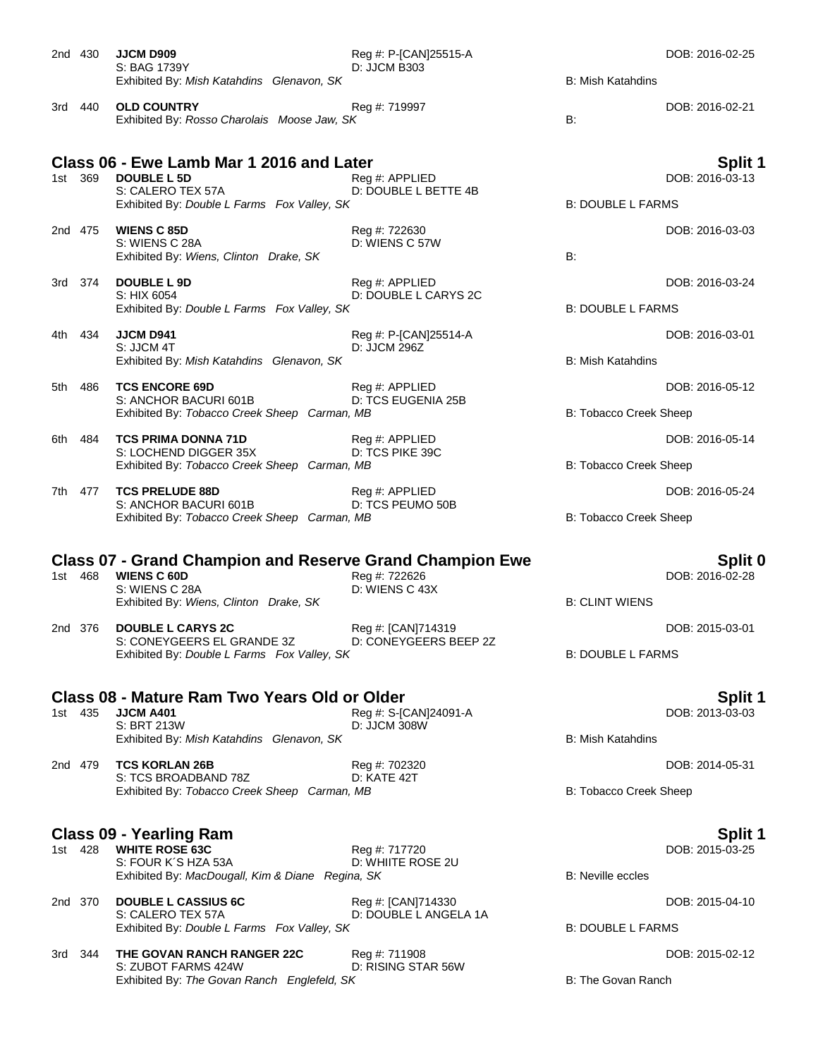|      | 2nd 430 | <b>JJCM D909</b><br>S: BAG 1739Y<br>Exhibited By: Mish Katahdins Glenavon, SK                                                                     | Reg #: P-[CAN]25515-A<br>D: JJCM B303       | <b>B: Mish Katahdins</b> | DOB: 2016-02-25                   |
|------|---------|---------------------------------------------------------------------------------------------------------------------------------------------------|---------------------------------------------|--------------------------|-----------------------------------|
|      | 3rd 440 | <b>OLD COUNTRY</b><br>Exhibited By: Rosso Charolais Moose Jaw, SK                                                                                 | Reg #: 719997                               | B:                       | DOB: 2016-02-21                   |
|      | 1st 369 | Class 06 - Ewe Lamb Mar 1 2016 and Later<br><b>DOUBLE L5D</b><br>S: CALERO TEX 57A<br>Exhibited By: Double L Farms Fox Valley, SK                 | Reg #: APPLIED<br>D: DOUBLE L BETTE 4B      | <b>B: DOUBLE L FARMS</b> | Split 1<br>DOB: 2016-03-13        |
|      | 2nd 475 | <b>WIENS C 85D</b><br>S: WIENS C 28A<br>Exhibited By: Wiens, Clinton Drake, SK                                                                    | Reg #: 722630<br>D: WIENS C 57W             | B:                       | DOB: 2016-03-03                   |
|      | 3rd 374 | <b>DOUBLE L 9D</b><br>S: HIX 6054<br>Exhibited By: Double L Farms Fox Valley, SK                                                                  | Reg #: APPLIED<br>D: DOUBLE L CARYS 2C      | <b>B: DOUBLE L FARMS</b> | DOB: 2016-03-24                   |
|      | 4th 434 | JJCM D941<br>S: JJCM 4T<br>Exhibited By: Mish Katahdins Glenavon, SK                                                                              | Reg #: P-[CAN]25514-A<br>D: JJCM 296Z       | <b>B: Mish Katahdins</b> | DOB: 2016-03-01                   |
| 5th  | 486     | <b>TCS ENCORE 69D</b><br>S: ANCHOR BACURI 601B<br>Exhibited By: Tobacco Creek Sheep Carman, MB                                                    | Reg #: APPLIED<br>D: TCS EUGENIA 25B        | B: Tobacco Creek Sheep   | DOB: 2016-05-12                   |
| 6th. | 484     | <b>TCS PRIMA DONNA 71D</b><br>S: LOCHEND DIGGER 35X<br>Exhibited By: Tobacco Creek Sheep Carman, MB                                               | Reg #: APPLIED<br>D: TCS PIKE 39C           | B: Tobacco Creek Sheep   | DOB: 2016-05-14                   |
|      | 7th 477 | <b>TCS PRELUDE 88D</b><br>S: ANCHOR BACURI 601B<br>Exhibited By: Tobacco Creek Sheep Carman, MB                                                   | Reg #: APPLIED<br>D: TCS PEUMO 50B          | B: Tobacco Creek Sheep   | DOB: 2016-05-24                   |
|      | 1st 468 | <b>Class 07 - Grand Champion and Reserve Grand Champion Ewe</b><br><b>WIENS C 60D</b><br>S: WIENS C 28A<br>Exhibited By: Wiens, Clinton Drake, SK | Reg #: 722626<br>D: WIENS C 43X             | <b>B: CLINT WIENS</b>    | <b>Split 0</b><br>DOB: 2016-02-28 |
|      | 2nd 376 | <b>DOUBLE L CARYS 2C</b><br>S: CONEYGEERS EL GRANDE 3Z<br>Exhibited By: Double L Farms Fox Valley, SK                                             | Reg #: [CAN]714319<br>D: CONEYGEERS BEEP 2Z | <b>B: DOUBLE L FARMS</b> | DOB: 2015-03-01                   |
|      | 1st 435 | <b>Class 08 - Mature Ram Two Years Old or Older</b><br><b>JJCM A401</b><br>S: BRT 213W<br>Exhibited By: Mish Katahdins Glenavon, SK               | Reg #: S-[CAN]24091-A<br>D: JJCM 308W       | B: Mish Katahdins        | Split 1<br>DOB: 2013-03-03        |
|      | 2nd 479 | <b>TCS KORLAN 26B</b><br>S: TCS BROADBAND 78Z<br>Exhibited By: Tobacco Creek Sheep Carman, MB                                                     | Reg #: 702320<br>D: KATE 42T                | B: Tobacco Creek Sheep   | DOB: 2014-05-31                   |
|      | 1st 428 | <b>Class 09 - Yearling Ram</b><br><b>WHITE ROSE 63C</b><br>S: FOUR K'S HZA 53A<br>Exhibited By: MacDougall, Kim & Diane Regina, SK                | Reg #: 717720<br>D: WHIITE ROSE 2U          | <b>B:</b> Neville eccles | Split 1<br>DOB: 2015-03-25        |
|      | 2nd 370 | <b>DOUBLE L CASSIUS 6C</b><br>S: CALERO TEX 57A<br>Exhibited By: Double L Farms Fox Valley, SK                                                    | Reg #: [CAN]714330<br>D: DOUBLE L ANGELA 1A | <b>B: DOUBLE L FARMS</b> | DOB: 2015-04-10                   |
|      | 3rd 344 | THE GOVAN RANCH RANGER 22C<br>S: ZUBOT FARMS 424W<br>Exhibited By: The Govan Ranch Englefeld, SK                                                  | Reg #: 711908<br>D: RISING STAR 56W         | B: The Govan Ranch       | DOB: 2015-02-12                   |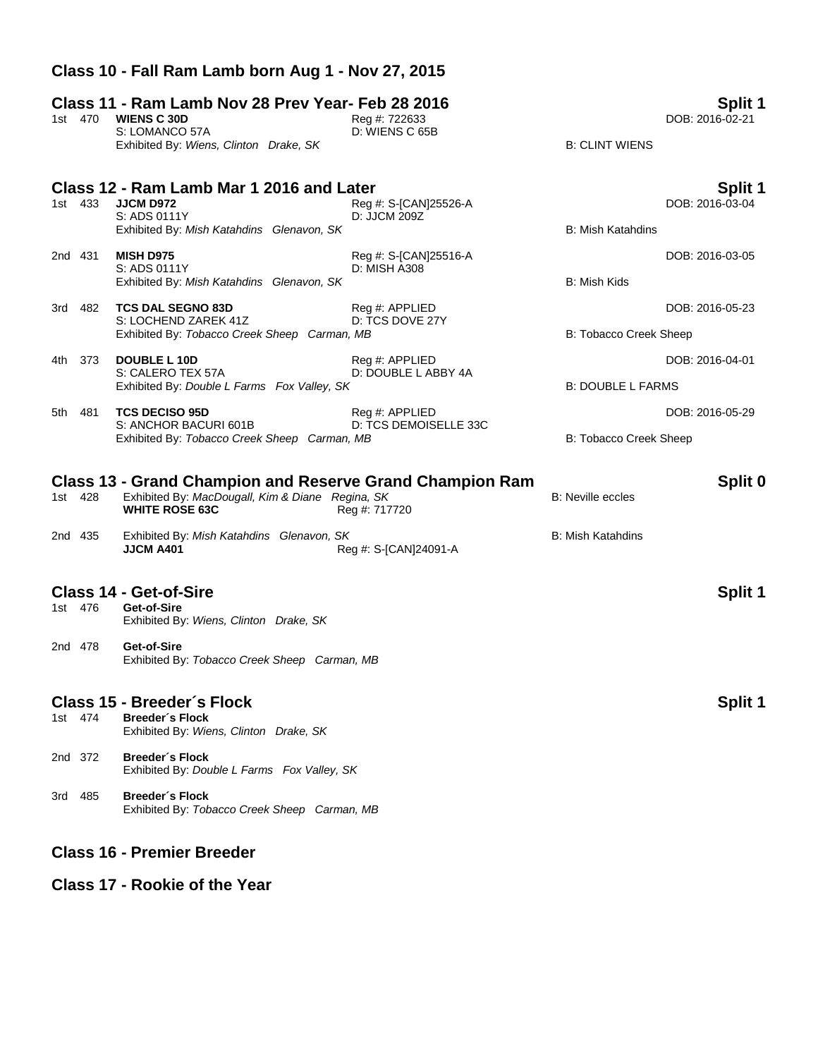# **Class 11 - Ram Lamb Nov 28 Prev Year- Feb 28 2016 Split 1** 1st 470 **WIENS C 30D** Reg #: 722633 DOB: 2016-02-21 S: LOMANCO 57A D: WIENS C 65B Exhibited By: *Wiens, Clinton Drake, SK* B: CLINT WIENS **Class 12 - Ram Lamb Mar 1 2016 and Later Split 1** 1st 433 **JJCM D972** Reg #: S-[CAN]25526-A Reg 2016-03-04<br>S: ADS 0111Y D: JJCM 209Z S: ADS 0111Y Exhibited By: *Mish Katahdins Glenavon, SK* B: Mish Katahdins 2nd 431 **MISH D975** Reg #: S-[CAN]25516-A DOB: 2016-03-05 S: ADS 0111Y D: MISH A308 Exhibited By: *Mish Katahdins Glenavon, SK* B: Mish Kids B: Mish Kids 3rd 482 **TCS DAL SEGNO 83D** Reg #: APPLIED DOB: 2016-05-23 S: LOCHEND ZAREK 41Z D: TCS DOVE 27Y Exhibited By: Tobacco Creek Sheep Carman, MB B: Tobacco Creek Sheep Carman, MB 4th 373 **DOUBLE L 10D** Reg #: APPLIED Reg and DOB: 2016-04-01 S: CALERO TEX 57A D: DOUBLE LABBY 4A Exhibited By: *Double L Farms Fox Valley, SK* B: DOUBLE L FARMS 5th 481 **TCS DECISO 95D** Reg #: APPLIED DOB: 2016-05-29 S: ANCHOR BACURI 601B D: TCS DEMOISELLE 33C Exhibited By: Tobacco Creek Sheep Carman, MB B: Tobacco Creek Sheep Carman, MB **Class 13 - Grand Champion and Reserve Grand Champion Ram Split 0** 1st 428 Exhibited By: *MacDougall, Kim & Diane Regina, SK* B: Neville eccles **WHITE ROSE 63C** Reg #: 717720 2nd 435 Exhibited By: *Mish Katahdins Glenavon, SK* B: Mish Katahdins **JJCM A401** Reg #: S-[CAN]24091-A **Class 14 - Get-of-Sire Split 1** Get-of-Sire Exhibited By: *Wiens, Clinton Drake, SK* 2nd 478 **Get-of-Sire** Exhibited By: *Tobacco Creek Sheep Carman, MB* **Class 15 - Breeder´s Flock Split 1** 1st 474 **Breeder´s Flock** Exhibited By: *Wiens, Clinton Drake, SK* 2nd 372 **Breeder´s Flock** Exhibited By: *Double L Farms Fox Valley, SK* 3rd 485 **Breeder´s Flock** Exhibited By: *Tobacco Creek Sheep Carman, MB*

**Class 10 - Fall Ram Lamb born Aug 1 - Nov 27, 2015**

### **Class 16 - Premier Breeder**

### **Class 17 - Rookie of the Year**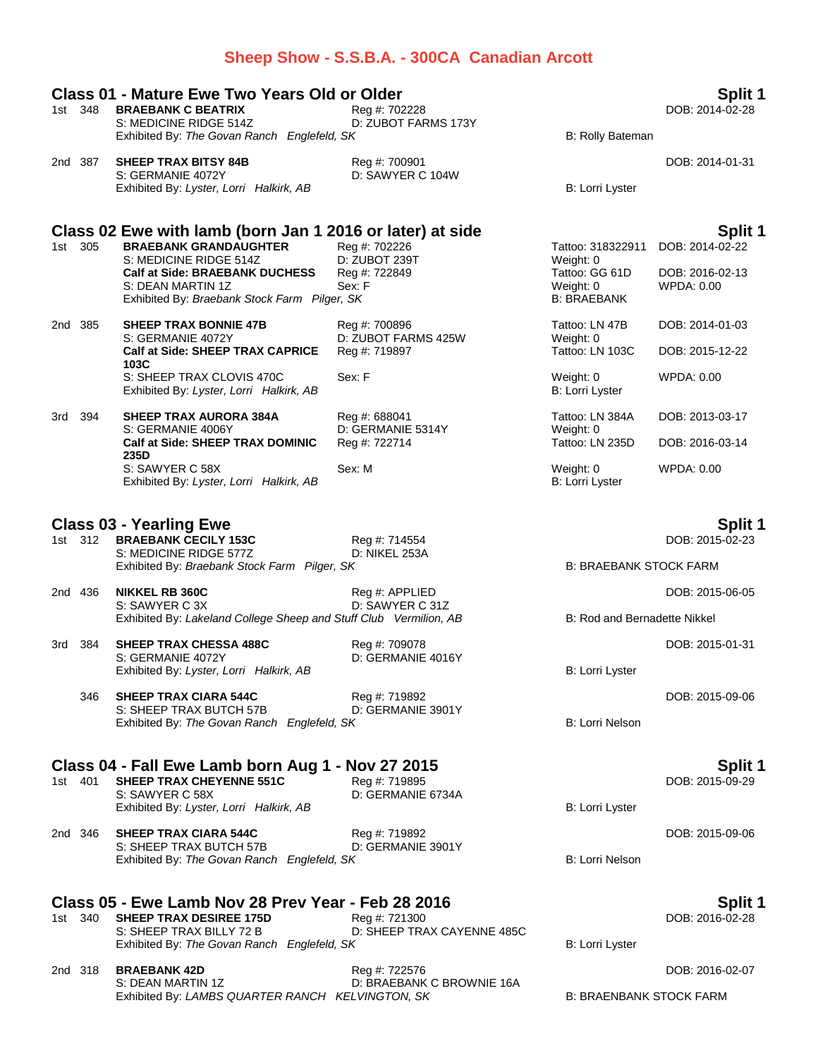|     |         |                                                                                                            | Sheep Show - S.S.B.A. - 300CA Canadian Arcott |                                     |                            |
|-----|---------|------------------------------------------------------------------------------------------------------------|-----------------------------------------------|-------------------------------------|----------------------------|
|     | 1st 348 | <b>Class 01 - Mature Ewe Two Years Old or Older</b><br><b>BRAEBANK C BEATRIX</b><br>S: MEDICINE RIDGE 514Z | Reg #: 702228<br>D: ZUBOT FARMS 173Y          |                                     | Split 1<br>DOB: 2014-02-28 |
|     |         | Exhibited By: The Govan Ranch Englefeld, SK                                                                |                                               | B: Rolly Bateman                    |                            |
|     | 2nd 387 | <b>SHEEP TRAX BITSY 84B</b><br>S: GERMANIE 4072Y                                                           | Reg #: 700901<br>D: SAWYER C 104W             |                                     | DOB: 2014-01-31            |
|     |         | Exhibited By: Lyster, Lorri Halkirk, AB                                                                    |                                               | B: Lorri Lyster                     |                            |
|     |         | Class 02 Ewe with lamb (born Jan 1 2016 or later) at side                                                  |                                               |                                     | Split 1                    |
|     | 1st 305 | <b>BRAEBANK GRANDAUGHTER</b><br>S: MEDICINE RIDGE 514Z                                                     | Reg #: 702226<br>D: ZUBOT 239T                | Tattoo: 318322911<br>Weight: 0      | DOB: 2014-02-22            |
|     |         | <b>Calf at Side: BRAEBANK DUCHESS</b>                                                                      | Reg #: 722849                                 | Tattoo: GG 61D                      | DOB: 2016-02-13            |
|     |         | S: DEAN MARTIN 1Z<br>Exhibited By: Braebank Stock Farm Pilger, SK                                          | Sex: F                                        | Weight: 0<br>B: BRAEBANK            | WPDA: 0.00                 |
|     | 2nd 385 | <b>SHEEP TRAX BONNIE 47B</b>                                                                               | Reg #: 700896<br>D: ZUBOT FARMS 425W          | Tattoo: LN 47B                      | DOB: 2014-01-03            |
|     |         | S: GERMANIE 4072Y<br><b>Calf at Side: SHEEP TRAX CAPRICE</b><br>103C                                       | Reg #: 719897                                 | Weight: 0<br>Tattoo: LN 103C        | DOB: 2015-12-22            |
|     |         | S: SHEEP TRAX CLOVIS 470C<br>Exhibited By: Lyster, Lorri Halkirk, AB                                       | Sex: F                                        | Weight: 0<br>B: Lorri Lyster        | <b>WPDA: 0.00</b>          |
| 3rd | - 394   | <b>SHEEP TRAX AURORA 384A</b>                                                                              | Reg #: 688041                                 | Tattoo: LN 384A                     | DOB: 2013-03-17            |
|     |         | S: GERMANIE 4006Y<br><b>Calf at Side: SHEEP TRAX DOMINIC</b><br>235D                                       | D: GERMANIE 5314Y<br>Reg #: 722714            | Weight: 0<br>Tattoo: LN 235D        | DOB: 2016-03-14            |
|     |         | S: SAWYER C 58X<br>Exhibited By: Lyster, Lorri Halkirk, AB                                                 | Sex: M                                        | Weight: 0<br><b>B: Lorri Lyster</b> | WPDA: 0.00                 |
|     |         | <b>Class 03 - Yearling Ewe</b>                                                                             |                                               |                                     | Split 1                    |
|     | 1st 312 | <b>BRAEBANK CECILY 153C</b>                                                                                | Reg #: 714554                                 |                                     | DOB: 2015-02-23            |
|     |         | S: MEDICINE RIDGE 577Z<br>Exhibited By: Braebank Stock Farm Pilger, SK                                     | D: NIKEL 253A                                 | <b>B: BRAEBANK STOCK FARM</b>       |                            |
|     | 2nd 436 | <b>NIKKEL RB 360C</b><br>S: SAWYER C 3X                                                                    | Reg #: APPLIED<br>D: SAWYER C 31Z             |                                     | DOB: 2015-06-05            |
|     |         | Exhibited By: Lakeland College Sheep and Stuff Club Vermilion, AB                                          |                                               | B: Rod and Bernadette Nikkel        |                            |
|     | 3rd 384 | <b>SHEEP TRAX CHESSA 488C</b>                                                                              | Reg #: 709078                                 |                                     | DOB: 2015-01-31            |
|     |         | S: GERMANIE 4072Y<br>Exhibited By: Lyster, Lorri Halkirk, AB                                               | D: GERMANIE 4016Y                             | B: Lorri Lyster                     |                            |
|     | 346     | <b>SHEEP TRAX CIARA 544C</b>                                                                               | Reg #: 719892                                 |                                     | DOB: 2015-09-06            |
|     |         | S: SHEEP TRAX BUTCH 57B<br>Exhibited By: The Govan Ranch Englefeld, SK                                     | D: GERMANIE 3901Y                             | <b>B: Lorri Nelson</b>              |                            |
|     |         | Class 04 - Fall Ewe Lamb born Aug 1 - Nov 27 2015                                                          |                                               |                                     | Split 1                    |
|     | 1st 401 | <b>SHEEP TRAX CHEYENNE 551C</b><br>S: SAWYER C 58X                                                         | Reg #: 719895<br>D: GERMANIE 6734A            |                                     | DOB: 2015-09-29            |
|     |         | Exhibited By: Lyster, Lorri Halkirk, AB                                                                    |                                               | B: Lorri Lyster                     |                            |
|     | 2nd 346 | <b>SHEEP TRAX CIARA 544C</b>                                                                               | Reg #: 719892                                 |                                     | DOB: 2015-09-06            |
|     |         | S: SHEEP TRAX BUTCH 57B<br>Exhibited By: The Govan Ranch Englefeld, SK                                     | D: GERMANIE 3901Y                             | <b>B: Lorri Nelson</b>              |                            |
|     |         | Class 05 - Ewe Lamb Nov 28 Prev Year - Feb 28 2016                                                         |                                               |                                     | <b>Split 1</b>             |
|     | 1st 340 | <b>SHEEP TRAX DESIREE 175D</b>                                                                             | Reg #: 721300                                 |                                     | DOB: 2016-02-28            |
|     |         | S: SHEEP TRAX BILLY 72 B<br>Exhibited By: The Govan Ranch Englefeld, SK                                    | D: SHEEP TRAX CAYENNE 485C                    | B: Lorri Lyster                     |                            |

2nd 318 **BRAEBANK 42D** Reg #: 722576 DOB: 2016-02-07 S: DEAN MARTIN 1Z D: BRAEBANK C BROWNIE 16A Exhibited By: *LAMBS QUARTER RANCH KELVINGTON, SK* B: BRAENBANK STOCK FARM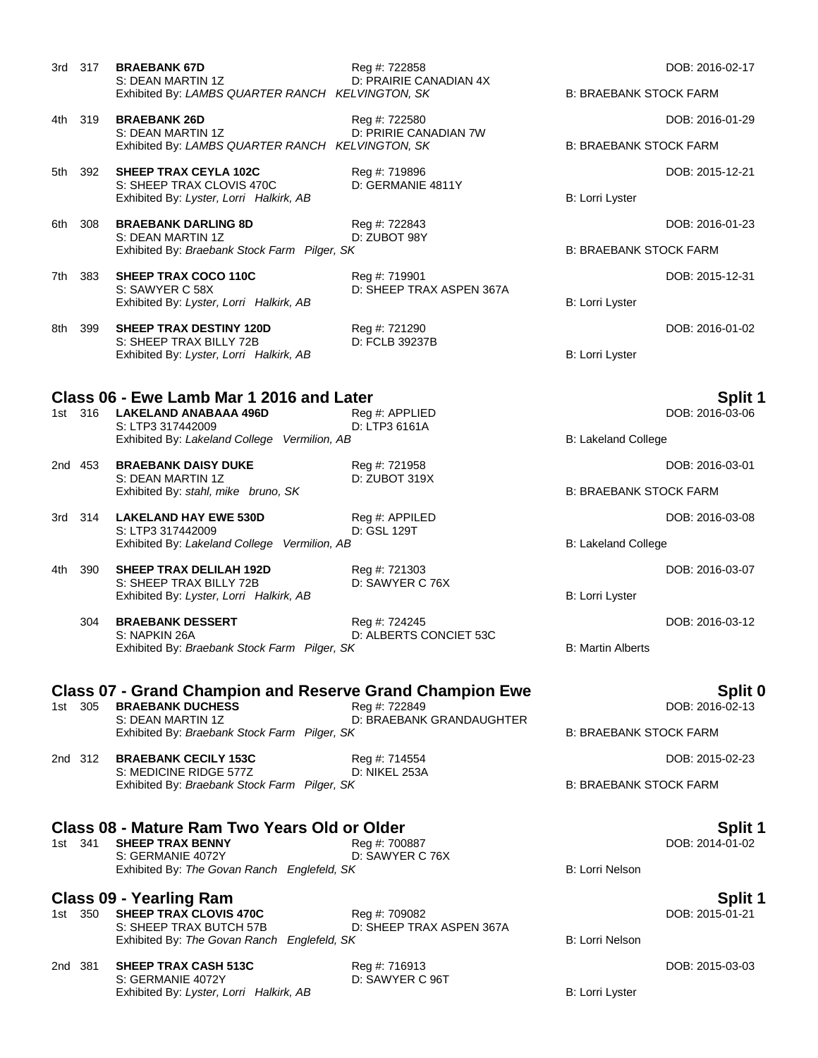| 3rd 317     | <b>BRAEBANK 67D</b>                                                   | Reg #: 722858                             |                               | DOB: 2016-02-17 |
|-------------|-----------------------------------------------------------------------|-------------------------------------------|-------------------------------|-----------------|
|             | S: DEAN MARTIN 1Z<br>Exhibited By: LAMBS QUARTER RANCH KELVINGTON, SK | D: PRAIRIE CANADIAN 4X                    | <b>B: BRAEBANK STOCK FARM</b> |                 |
| 4th 319     | <b>BRAEBANK 26D</b>                                                   | Reg #: 722580                             |                               | DOB: 2016-01-29 |
|             | S: DEAN MARTIN 1Z<br>Exhibited By: LAMBS QUARTER RANCH KELVINGTON, SK | D: PRIRIE CANADIAN 7W                     | <b>B: BRAEBANK STOCK FARM</b> |                 |
| 392<br>5th  | <b>SHEEP TRAX CEYLA 102C</b>                                          | Reg #: 719896                             |                               | DOB: 2015-12-21 |
|             | S: SHEEP TRAX CLOVIS 470C<br>Exhibited By: Lyster, Lorri Halkirk, AB  | D: GERMANIE 4811Y                         | B: Lorri Lyster               |                 |
| 308<br>6th  | <b>BRAEBANK DARLING 8D</b><br>S: DEAN MARTIN 1Z                       | Reg #: 722843<br>D: ZUBOT 98Y             |                               | DOB: 2016-01-23 |
|             | Exhibited By: Braebank Stock Farm Pilger, SK                          |                                           | <b>B: BRAEBANK STOCK FARM</b> |                 |
| 7th 383     | <b>SHEEP TRAX COCO 110C</b><br>S: SAWYER C 58X                        | Reg #: 719901<br>D: SHEEP TRAX ASPEN 367A |                               | DOB: 2015-12-31 |
|             | Exhibited By: Lyster, Lorri Halkirk, AB                               |                                           | B: Lorri Lyster               |                 |
| 399<br>8th. | SHEEP TRAX DESTINY 120D<br>S: SHEEP TRAX BILLY 72B                    | Reg #: 721290<br>D: FCLB 39237B           |                               | DOB: 2016-01-02 |
|             | Exhibited By: Lyster, Lorri Halkirk, AB                               |                                           | B: Lorri Lyster               |                 |
|             | Class 06 - Ewe Lamb Mar 1 2016 and Later                              |                                           |                               | <b>Split 1</b>  |
| 1st 316     | <b>LAKELAND ANABAAA 496D</b>                                          | Reg #: APPLIED                            |                               | DOB: 2016-03-06 |
|             | S: LTP3 317442009<br>Exhibited By: Lakeland College Vermilion, AB     | D: LTP3 6161A                             | B: Lakeland College           |                 |
| 2nd 453     | <b>BRAEBANK DAISY DUKE</b><br>S: DEAN MARTIN 1Z                       | Reg #: 721958<br>D: ZUBOT 319X            |                               | DOB: 2016-03-01 |
|             | Exhibited By: stahl, mike bruno, SK                                   |                                           | <b>B: BRAEBANK STOCK FARM</b> |                 |
| 3rd 314     | <b>LAKELAND HAY EWE 530D</b><br>S: LTP3 317442009                     | Reg #: APPILED<br>D: GSL 129T             |                               | DOB: 2016-03-08 |
|             | Exhibited By: Lakeland College Vermilion, AB                          |                                           | B: Lakeland College           |                 |
| 390<br>4th  | <b>SHEEP TRAX DELILAH 192D</b><br>S: SHEEP TRAX BILLY 72B             | Reg #: 721303<br>D: SAWYER C 76X          |                               | DOB: 2016-03-07 |
|             | Exhibited By: Lyster, Lorri Halkirk, AB                               |                                           | B: Lorri Lyster               |                 |
| 304         | <b>BRAEBANK DESSERT</b><br>S: NAPKIN 26A                              | Reg #: 724245<br>D: ALBERTS CONCIET 53C   |                               | DOB: 2016-03-12 |
|             | Exhibited By: Braebank Stock Farm Pilger, SK                          |                                           | <b>B: Martin Alberts</b>      |                 |
|             | <b>Class 07 - Grand Champion and Reserve Grand Champion Ewe</b>       |                                           |                               | Split 0         |
| 305<br>1st  | <b>BRAEBANK DUCHESS</b><br>S: DEAN MARTIN 1Z                          | Reg #: 722849<br>D: BRAEBANK GRANDAUGHTER |                               | DOB: 2016-02-13 |
|             | Exhibited By: Braebank Stock Farm Pilger, SK                          |                                           | <b>B: BRAEBANK STOCK FARM</b> |                 |
| 2nd 312     | <b>BRAEBANK CECILY 153C</b><br>S: MEDICINE RIDGE 577Z                 | Reg #: 714554<br>D: NIKEL 253A            |                               | DOB: 2015-02-23 |
|             | Exhibited By: Braebank Stock Farm Pilger, SK                          |                                           | <b>B: BRAEBANK STOCK FARM</b> |                 |
|             | Class 08 - Mature Ram Two Years Old or Older                          |                                           |                               | Split 1         |
| 1st 341     | <b>SHEEP TRAX BENNY</b>                                               | Reg #: 700887                             |                               | DOB: 2014-01-02 |
|             | S: GERMANIE 4072Y<br>Exhibited By: The Govan Ranch Englefeld, SK      | D: SAWYER C 76X                           | <b>B: Lorri Nelson</b>        |                 |
|             | <b>Class 09 - Yearling Ram</b>                                        |                                           |                               | <b>Split 1</b>  |
| 350<br>1st  | <b>SHEEP TRAX CLOVIS 470C</b><br>S: SHEEP TRAX BUTCH 57B              | Reg #: 709082<br>D: SHEEP TRAX ASPEN 367A |                               | DOB: 2015-01-21 |
|             | Exhibited By: The Govan Ranch Englefeld, SK                           |                                           | <b>B: Lorri Nelson</b>        |                 |

S: GERMANIE 4072Y

2nd 381 **SHEEP TRAX CASH 513C** Reg #: 716913 Reg **Example 2015-03-03** DOB: 2015-03-03<br>S: GERMANIE 4072Y D: SAWYER C 96T

Exhibited By: Lyster, Lorri Halkirk, AB B: Lorri Lyster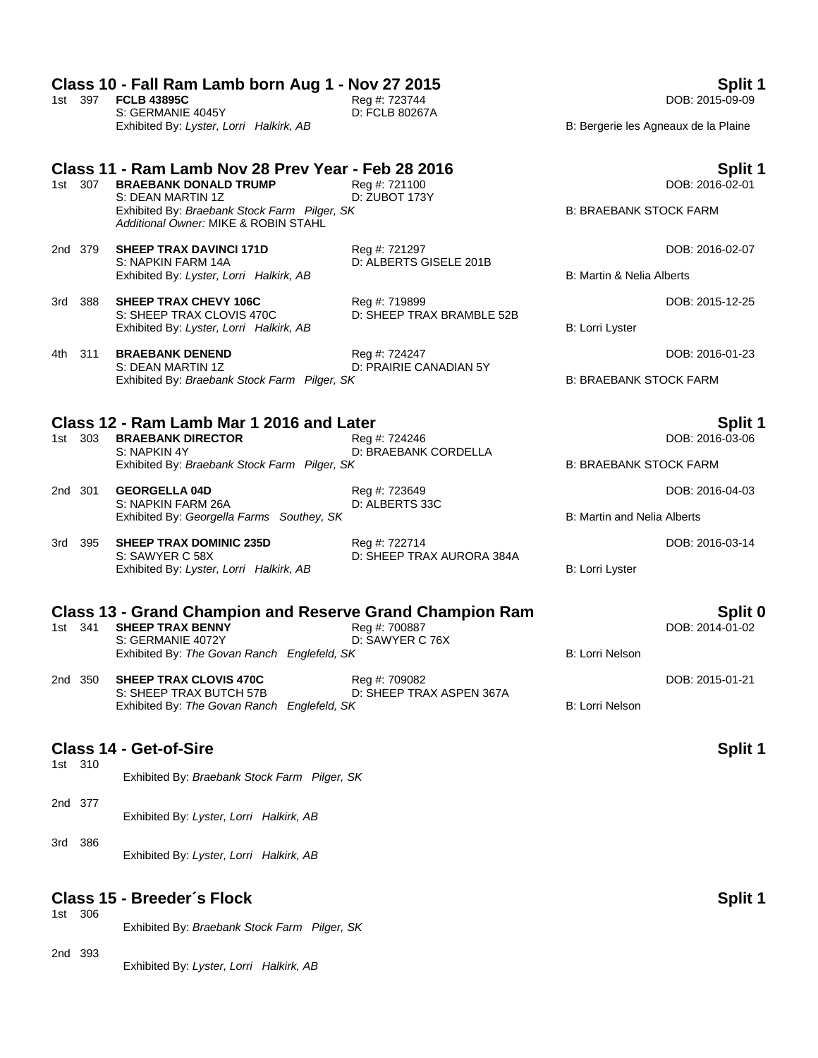### **Class 10 - Fall Ram Lamb born Aug 1 - Nov 27 2015 Split 1**

1st 397 **FCLB 43895C** Reg #: 723744 DOB: 2015-09-09 S: GERMANIE 4045Y D: FCLB 80267A Exhibited By: Lyster, Lorri Halkirk, AB B: Bergerie les Agneaux de la Plaine

# **Class 11 - Ram Lamb Nov 28 Prev Year - Feb 28 2016 Split 1**

- 1st 307 **BRAEBANK DONALD TRUMP** Reg #: 721100<br>S: DEAN MARTIN 1Z D: ZUBOT 173Y S: DEAN MARTIN 1Z Exhibited By: *Braebank Stock Farm Pilger, SK* B: BRAEBANK STOCK FARM *Additional Owner:* MIKE & ROBIN STAHL
- 2nd 379 **SHEEP TRAX DAVINCI 171D** Reg #: 721297 DOB: 2016-02-07 Exhibited By: Lyster, Lorri Halkirk, AB B: Martin & Nelia Alberts
- 3rd 388 **SHEEP TRAX CHEVY 106C** Reg #: 719899 Reg **#: 719899** Reg **ALC 2015-12-25**<br>S: SHEEP TRAX CLOVIS 470C D: SHEEP TRAX BRAMBLE 52B Exhibited By: Lyster, Lorri Halkirk, AB B: Lorri Lyster, B: Lorri Lyster, B: Lorri Lyster, B: Lorri Lyster, B: Lorri Lyster, B: Lorri Lyster, B: Lorri Lyster, B: Lorri Lyster, B: Lorri Lyster, B: Lorri Lyster, B: Lorri Lys
- 4th 311 **BRAEBANK DENEND** Reg #: 724247 Reg at 2016-01-23<br>S: DEAN MARTIN 1Z D: PRAIRIE CANADIAN 5Y D: PRAIRIE CANADIAN 5Y Exhibited By: *Braebank Stock Farm Pilger, SK* B: BRAEBANK STOCK FARM

#### **Class 12 - Ram Lamb Mar 1 2016 and Later Split 1**

1st 303 **BRAEBANK DIRECTOR** Reg #: 724246 **Reg 2016-03-06** DOB: 2016-03-06 S: NAPKIN 4Y D: BRAEBANK CORDELLA Exhibited By: *Braebank Stock Farm Pilger, SK* B: BRAEBANK STOCK FARM

- 2nd 301 **GEORGELLA 04D** Reg #: 723649 DOB: 2016-04-03 S: NAPKIN FARM 26A D: ALBERTS 33C Exhibited By: *Georgella Farms Southey, SK* B: Martin and Nelia Alberts
- 3rd 395 **SHEEP TRAX DOMINIC 235D** Reg #: 722714 DOB: 2016-03-14 S: SAWYER C 58X D: SHEEP TRAX AURORA 384A Exhibited By: Lyster, Lorri Halkirk, AB B: Lorri Lyster

D: ALBERTS GISELE 201B

D: SHEEP TRAX BRAMBLE 52B

### **Class 13 - Grand Champion and Reserve Grand Champion Ram Split 0**

1st 341 **SHEEP TRAX BENNY** Reg #: 700887 Reg assets that the DOB: 2014-01-02<br>S: GERMANIE 4072Y D: SAWYER C 76X S: GERMANIE 4072Y Exhibited By: The Govan Ranch Englefeld, SK B: Lorri Nelson

2nd 350 **SHEEP TRAX CLOVIS 470C** Reg #: 709082 DOB: 2015-01-21 S: SHEEP TRAX BUTCH 57B D: SHEEP TRAX ASPEN 367A Exhibited By: The Govan Ranch Englefeld, SK B: Lorri Nelson

### **Class 14 - Get-of-Sire Split 1**

1st 310

- Exhibited By: *Braebank Stock Farm Pilger, SK*
- 2nd 377 Exhibited By: *Lyster, Lorri Halkirk, AB*
- 3rd 386 Exhibited By: *Lyster, Lorri Halkirk, AB*

### **Class 15 - Breeder´s Flock Split 1**

1st 306 Exhibited By: *Braebank Stock Farm Pilger, SK*

#### 2nd 393 Exhibited By: *Lyster, Lorri Halkirk, AB*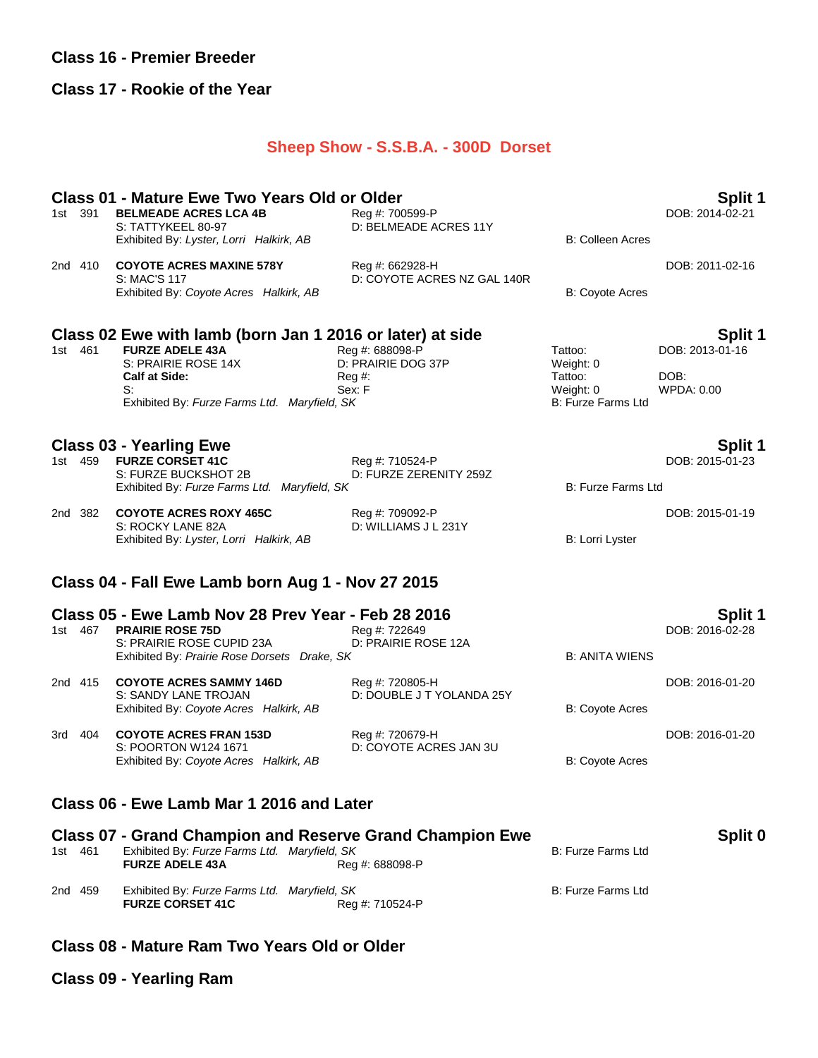### **Class 16 - Premier Breeder**

#### **Class 17 - Rookie of the Year**

### **Sheep Show - S.S.B.A. - 300D Dorset**

# **Class 01 - Mature Ewe Two Years Old or Older Split 1**<br>1st 391 BELMEADE ACRES LCA 4B **Reg #: 700599-P Split 1** DOB: 2014-02-21

1st 391 **BELMEADE ACRES LCA 4B**<br>S: TATTYKEEL 80-97 Exhibited By: *Lyster, Lorri Halkirk, AB* B: Colleen Acres

D: BELMEADE ACRES 11Y

2nd 410 **COYOTE ACRES MAXINE 578Y** Reg #: 662928-H DOB: 2011-02-16 S: MAC'S 117 D: COYOTE ACRES NZ GAL 140R Exhibited By: *Coyote Acres Halkirk, AB* B: Coyote Acres B: Coyote Acres

### **Class 02 Ewe with lamb (born Jan 1 2016 or later) at side Split 1**

1st 461 **FURZE ADELE 43A** Reg #: 688098-P<br>
S: PRAIRIE ROSE 14X D: PRAIRIE DOG 37P Weight: 0 S: PRAIRIE ROSE 14X **Calf at Side:** Reg #: Tattoo: DOB: S: Sex: F Sex: F Weight: 0 WPDA: 0.00<br>
Exhibited By: Furze Farms Ltd. Maryfield, SK Sex: F B: Furze Farms Ltd Exhibited By: Furze Farms Ltd. Maryfield, SK

**Class 03 - Yearling Ewe Split 1** 1st 459 **FURZE CORSET 41C** Reg #: 710524-P S: FURZE BUCKSHOT 2B D: FURZE ZERENITY 259Z Exhibited By: *Furze Farms Ltd. Maryfield, SK* B: Furze Farms Ltd 2nd 382 **COYOTE ACRES ROXY 465C** Reg #: 709092-P DOB: 2015-01-19 S: ROCKY LANE 82A D: WILLIAMS J L 231Y

### **Class 04 - Fall Ewe Lamb born Aug 1 - Nov 27 2015**

| Class 05 - Ewe Lamb Nov 28 Prev Year - Feb 28 2016<br>Split 1 |         |                                                        |                                              |                        |                 |
|---------------------------------------------------------------|---------|--------------------------------------------------------|----------------------------------------------|------------------------|-----------------|
| 1st                                                           | 467     | <b>PRAIRIE ROSE 75D</b><br>S: PRAIRIE ROSE CUPID 23A   | Reg #: 722649<br>D: PRAIRIE ROSE 12A         |                        | DOB: 2016-02-28 |
|                                                               |         | Exhibited By: Prairie Rose Dorsets Drake, SK           |                                              | <b>B: ANITA WIENS</b>  |                 |
|                                                               | 2nd 415 | <b>COYOTE ACRES SAMMY 146D</b><br>S: SANDY LANE TROJAN | Reg #: 720805-H<br>D: DOUBLE J T YOLANDA 25Y |                        | DOB: 2016-01-20 |
|                                                               |         | Exhibited By: Coyote Acres Halkirk, AB                 |                                              | <b>B: Coyote Acres</b> |                 |
| 3rd                                                           | 404     | <b>COYOTE ACRES FRAN 153D</b><br>S: POORTON W124 1671  | Reg #: 720679-H<br>D: COYOTE ACRES JAN 3U    |                        | DOB: 2016-01-20 |
|                                                               |         | Exhibited By: Coyote Acres Halkirk, AB                 |                                              | <b>B: Coyote Acres</b> |                 |

## **Class 06 - Ewe Lamb Mar 1 2016 and Later**

|         |         |                                                                         | <b>Class 07 - Grand Champion and Reserve Grand Champion Ewe</b> |                    | Split 0 |
|---------|---------|-------------------------------------------------------------------------|-----------------------------------------------------------------|--------------------|---------|
| 1st 461 |         | Exhibited By: Furze Farms Ltd. Maryfield, SK<br><b>FURZE ADELE 43A</b>  | Rea #: 688098-P                                                 | B: Furze Farms Ltd |         |
|         | 2nd 459 | Exhibited By: Furze Farms Ltd. Maryfield, SK<br><b>FURZE CORSET 41C</b> | Reg #: 710524-P                                                 | B: Furze Farms Ltd |         |

### **Class 08 - Mature Ram Two Years Old or Older**

**Class 09 - Yearling Ram**

Exhibited By: Lyster, Lorri Halkirk, AB B: Lorri Lyster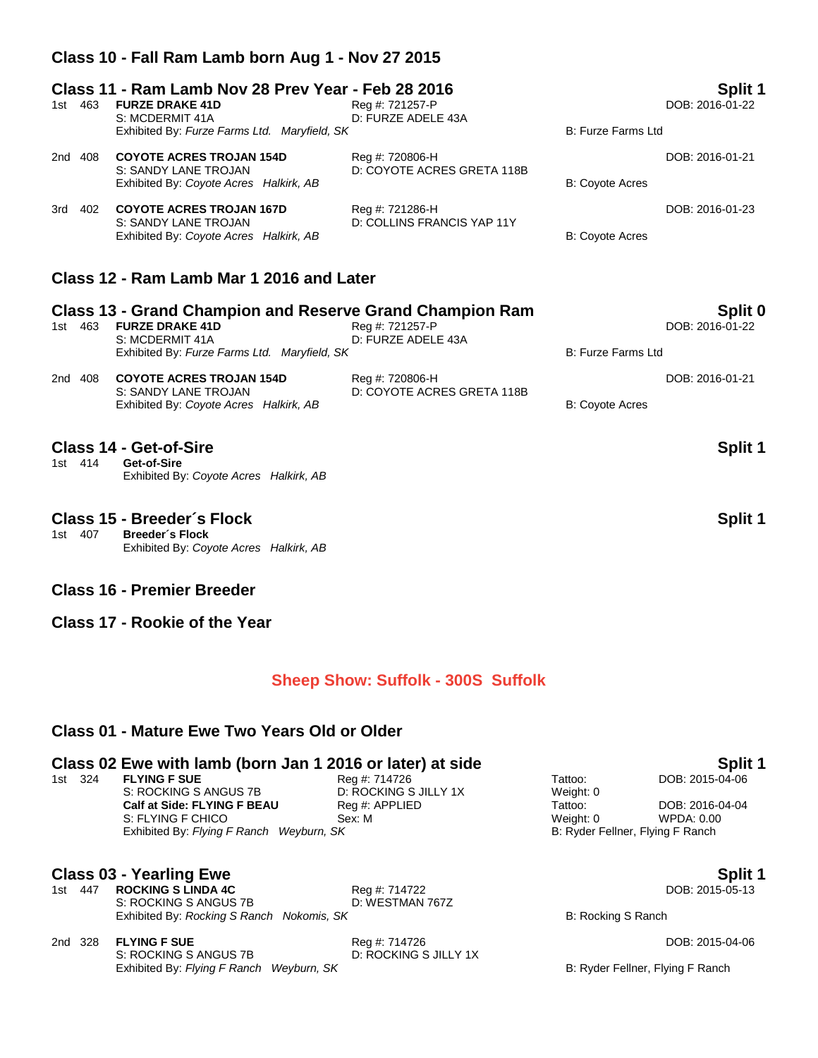## **Class 10 - Fall Ram Lamb born Aug 1 - Nov 27 2015**

### **Class 11 - Ram Lamb Nov 28 Prev Year - Feb 28 2016 Split 1**

| 1st | 463     | <b>FURZE DRAKE 41D</b><br>S: MCDERMIT 41A                                                         | Reg #: 721257-P<br>D: FURZE ADELE 43A         |                           | ----<br>DOB: 2016-01-22 |
|-----|---------|---------------------------------------------------------------------------------------------------|-----------------------------------------------|---------------------------|-------------------------|
|     |         | Exhibited By: Furze Farms Ltd. Maryfield, SK                                                      |                                               | <b>B: Furze Farms Ltd</b> |                         |
|     | 2nd 408 | <b>COYOTE ACRES TROJAN 154D</b><br>S: SANDY LANE TROJAN<br>Exhibited By: Coyote Acres Halkirk, AB | Reg #: 720806-H<br>D: COYOTE ACRES GRETA 118B | <b>B: Coyote Acres</b>    | DOB: 2016-01-21         |
|     | 3rd 402 | <b>COYOTE ACRES TROJAN 167D</b><br>S: SANDY LANE TROJAN<br>Exhibited By: Coyote Acres Halkirk, AB | Reg #: 721286-H<br>D: COLLINS FRANCIS YAP 11Y | <b>B: Coyote Acres</b>    | DOB: 2016-01-23         |

## **Class 12 - Ram Lamb Mar 1 2016 and Later**

| 463<br>1st | <b>Class 13 - Grand Champion and Reserve Grand Champion Ram</b><br><b>FURZE DRAKE 41D</b><br>S: MCDERMIT 41A<br>Exhibited By: Furze Farms Ltd. Maryfield, SK | Reg #: 721257-P<br>D: FURZE ADELE 43A         | B: Furze Farms Ltd | Split 0<br>DOB: 2016-01-22 |
|------------|--------------------------------------------------------------------------------------------------------------------------------------------------------------|-----------------------------------------------|--------------------|----------------------------|
| 408<br>2nd | <b>COYOTE ACRES TROJAN 154D</b><br>S: SANDY LANE TROJAN<br>Exhibited By: Coyote Acres Halkirk, AB                                                            | Reg #: 720806-H<br>D: COYOTE ACRES GRETA 118B | B: Coyote Acres    | DOB: 2016-01-21            |
| 1st 414    | Class 14 - Get-of-Sire<br>Get-of-Sire<br>Exhibited By: Coyote Acres Halkirk, AB                                                                              |                                               |                    | Split 1                    |
|            | Class 15 - Breeder's Flock<br>$10$ $10$ $70$ Draadar's Elask                                                                                                 |                                               |                    | Split 1                    |

1st 407 **Breeder´s Flock** Exhibited By: *Coyote Acres Halkirk, AB*

### **Class 16 - Premier Breeder**

**Class 17 - Rookie of the Year**

### **Sheep Show: Suffolk - 300S Suffolk**

### **Class 01 - Mature Ewe Two Years Old or Older**

#### **Class 02 Ewe with lamb (born Jan 1 2016 or later) at side <b>Split 1** Split 1

| 1st 324 | <b>FLYING F SUE</b>                      | Rea #: 714726         | Tattoo:   | DOB: 2015-0                      |
|---------|------------------------------------------|-----------------------|-----------|----------------------------------|
|         | S: ROCKING S ANGUS 7B                    | D: ROCKING S JILLY 1X | Weight: 0 |                                  |
|         | <b>Calf at Side: FLYING F BEAU</b>       | Reg #: APPLIED        | Tattoo:   | DOB: 2016-0                      |
|         | S: FLYING F CHICO                        | Sex: M                | Weight: 0 | WPDA: 0.00                       |
|         | Exhibited By: Flying F Ranch Weyburn, SK |                       |           | B: Ryder Fellner, Flying F Ranch |

- **Class 03 Yearling Ewe Split 1**<br>1st 447 ROCKING S LINDA 4C **Superify Reg #: 714722 Split 1 Split 1 Split 1 Split 1 Split 1 Split 1 Split 1 Split 1 Split 1 Split 1 Split 1 Split 1 Split 1 Spl** 1st 447 **ROCKING S LINDA 4C** Reg #: 714722<br>
S: ROCKING S ANGUS 7B D: WESTMAN 767Z S: ROCKING S ANGUS 7B Exhibited By: *Rocking S Ranch Nokomis, SK* B: Rocking S Ranch
- 2nd 328 **FLYING F SUE** Reg #: 714726 Reg #: 714726 DOB: 2015-04-06 DOB: 2015-04-06 S: ROCKING S ANGUS 7B S: ROCKING S ANGUS 7B Exhibited By: *Flying F Ranch Weyburn, SK* B: Ryder Fellner, Flying F Ranch

SAING S JILLY 1X B: ROCKING S JILLY 1X ANGUS 75 D: ROCKING S D: ROCKING S ANGUS 75 D: ROCKING S JULLY 1X WEIGH<br>Tattoo: 00 D: ROCKING S ANGUS 75 D: ROCKING S ANGUS 75 D: ROCKING S ANGUS 75 D: ROCKING S ANGUS 75 D: ROCKING **Calford:** Fattoo: DOB: 2016-04-04<br>
Weight: 0 WPDA: 0.00 B: Ryder Fellner, Flying F Ranch

1st 324 **FLYING F SUE** Reg #: 714726 Tattoo: DOB: 2015-04-06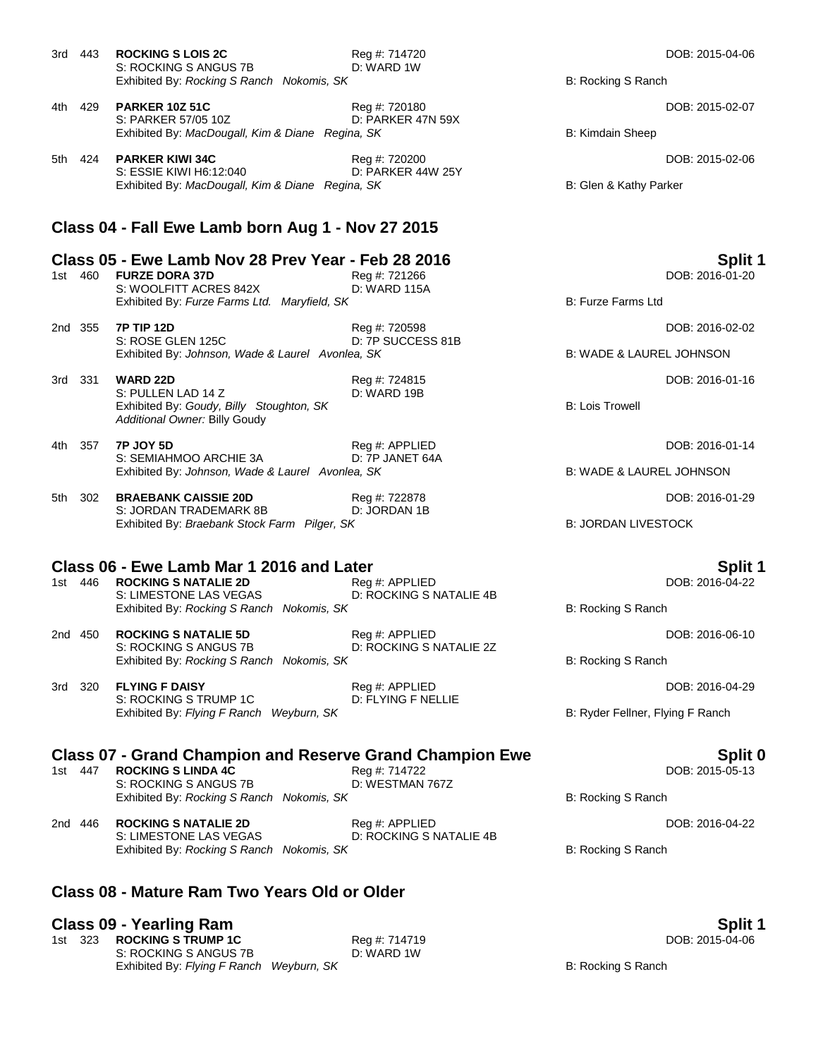|       | 3rd 443 | <b>ROCKING S LOIS 2C</b><br>S: ROCKING S ANGUS 7B                           | Reg #: 714720<br>D: WARD 1W        |                                     | DOB: 2015-04-06            |
|-------|---------|-----------------------------------------------------------------------------|------------------------------------|-------------------------------------|----------------------------|
|       |         | Exhibited By: Rocking S Ranch Nokomis, SK                                   |                                    | B: Rocking S Ranch                  |                            |
|       | 4th 429 | <b>PARKER 10Z 51C</b><br>S: PARKER 57/05 10Z                                | Reg #: 720180<br>D: PARKER 47N 59X |                                     | DOB: 2015-02-07            |
|       |         | Exhibited By: MacDougall, Kim & Diane Regina, SK                            |                                    | B: Kimdain Sheep                    |                            |
|       | 5th 424 | <b>PARKER KIWI 34C</b><br>S: ESSIE KIWI H6:12:040                           | Reg #: 720200<br>D: PARKER 44W 25Y |                                     | DOB: 2015-02-06            |
|       |         | Exhibited By: MacDougall, Kim & Diane Regina, SK                            |                                    | B: Glen & Kathy Parker              |                            |
|       |         | Class 04 - Fall Ewe Lamb born Aug 1 - Nov 27 2015                           |                                    |                                     |                            |
|       | 1st 460 | Class 05 - Ewe Lamb Nov 28 Prev Year - Feb 28 2016<br><b>FURZE DORA 37D</b> | Reg #: 721266                      |                                     | Split 1<br>DOB: 2016-01-20 |
|       |         | S: WOOLFITT ACRES 842X<br>Exhibited By: Furze Farms Ltd. Maryfield, SK      | D: WARD 115A                       | <b>B: Furze Farms Ltd</b>           |                            |
|       | 2nd 355 | <b>7P TIP 12D</b><br>S: ROSE GLEN 125C                                      | Reg #: 720598<br>D: 7P SUCCESS 81B |                                     | DOB: 2016-02-02            |
|       |         | Exhibited By: Johnson, Wade & Laurel Avonlea, SK                            |                                    | <b>B: WADE &amp; LAUREL JOHNSON</b> |                            |
|       | 3rd 331 | <b>WARD 22D</b><br>S: PULLEN LAD 14 Z                                       | Reg #: 724815<br>D: WARD 19B       |                                     | DOB: 2016-01-16            |
|       |         | Exhibited By: Goudy, Billy Stoughton, SK<br>Additional Owner: Billy Goudy   |                                    | <b>B: Lois Trowell</b>              |                            |
|       | 4th 357 | <b>7P JOY 5D</b><br>S: SEMIAHMOO ARCHIE 3A                                  | Reg #: APPLIED<br>D: 7P JANET 64A  |                                     | DOB: 2016-01-14            |
|       |         | Exhibited By: Johnson, Wade & Laurel Avonlea, SK                            |                                    | <b>B: WADE &amp; LAUREL JOHNSON</b> |                            |
| 5th - | 302     | <b>BRAEBANK CAISSIE 20D</b><br>S: JORDAN TRADEMARK 8B                       | Reg #: 722878<br>D: JORDAN 1B      |                                     | DOB: 2016-01-29            |
|       |         | Exhibited By: Braebank Stock Farm Pilger, SK                                |                                    | <b>B: JORDAN LIVESTOCK</b>          |                            |
|       |         | Class 06 - Ewe Lamb Mar 1 2016 and Later                                    |                                    |                                     | Split 1                    |
|       |         |                                                                             |                                    |                                     |                            |

1st 446 **ROCKING S NATALIE 2D** Reg #: APPLIED **DOB: 2016-04-22** S: LIMESTONE LAS VEGAS D: ROCKING S NATALIE 4B Exhibited By: *Rocking S Ranch Nokomis, SK* B: Rocking S Ranch Nokomis, SK

2nd 450 **ROCKING S NATALIE 5D** Reg #: APPLIED DOB: 2016-06-10 S: ROCKING S ANGUS 7B D: ROCKING S NATALIE 2Z Exhibited By: *Rocking S Ranch Nokomis, SK* B: Rocking S Ranch Nokomis, SK

3rd 320 **FLYING F DAISY** Reg #: APPLIED DOB: 2016-04-29 S: ROCKING S TRUMP 1C Exhibited By: *Flying F Ranch Weyburn, SK* B: Ryder Fellner, Flying F Ranch

## **Class 07 - Grand Champion and Reserve Grand Champion Ewe Split 0**

1st 447 **ROCKING S LINDA 4C** Reg #: 714722 DOB: 2015-05-13 S: ROCKING S ANGUS 7B D: WESTMAN 767Z Exhibited By: *Rocking S Ranch Nokomis, SK* B: Rocking S Ranch **B:** Rocking S Ranch

2nd 446 **ROCKING S NATALIE 2D** Reg #: APPLIED DOB: 2016-04-22 S: LIMESTONE LAS VEGAS D: ROCKING S NATALIE 4B Exhibited By: *Rocking S Ranch Nokomis, SK* B: Rocking S Ranch Nokomis, SK

# **Class 08 - Mature Ram Two Years Old or Older**

**Class 09 - Yearling Ram Split 1** 1st 323 **ROCKING S TRUMP 1C** Reg #: 714719<br>S: ROCKING S ANGUS 7B D: WARD 1W S: ROCKING S ANGUS 7B Exhibited By: *Flying F Ranch Weyburn, SK* B: Rocking S Ranch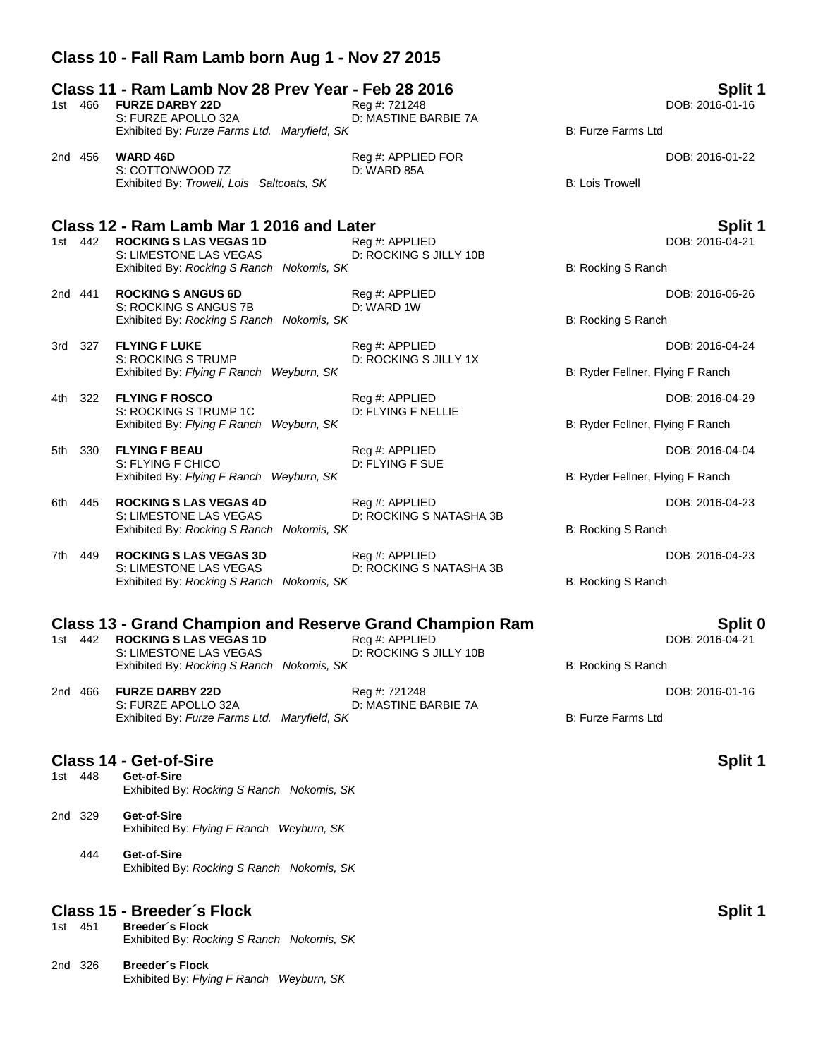## **Class 10 - Fall Ram Lamb born Aug 1 - Nov 27 2015**

#### **Class 11 - Ram Lamb Nov 28 Prev Year - Feb 28 2016 Split 1**

|  | 1st 466 <b>FURZE DARBY 22D</b>               | Reg #: 721248        | DOB: 2016-01-16    |
|--|----------------------------------------------|----------------------|--------------------|
|  | S: FURZE APOLLO 32A                          | D: MASTINE BARBIE 7A |                    |
|  | Exhibited By: Furze Farms Ltd. Maryfield, SK |                      | B: Furze Farms Ltd |

2nd 456 **WARD 46D Reg #: APPLIED FOR CONDUCT ACCORDING A REG 456 WARD 46D S: COTTONWOOD 7Z D: WARD 85A D: D: D: WARD 85A** S: COTTONWOOD 7Z Exhibited By: Trowell, Lois Saltcoats, SK B: Lois Trowell

# **Class 12 - Ram Lamb Mar 1 2016 and Later Split 1**

**ROCKING S LAS VEGAS 1D** S: LIMESTONE LAS VEGAS D: ROCKING S JILLY 10B Exhibited By: *Rocking S Ranch Nokomis, SK* B: Rocking S Ranch **B: Rocking S Ranch** 

2nd 441 **ROCKING S ANGUS 6D** Reg #: APPLIED DOB: 2016-06-26 S: ROCKING S ANGUS 7B D: WARD 1W Exhibited By: *Rocking S Ranch Nokomis, SK* B: Rocking S Ranch **B: Rocking S Ranch** 

3rd 327 **FLYING F LUKE** Reg #: APPLIED DOB: 2016-04-24 S: ROCKING S TRUMP D: ROCKING S JILLY 1X Exhibited By: *Flying F Ranch Weyburn, SK* B: Ryder Fellner, Flying F Ranch

- 4th 322 **FLYING F ROSCO** Reg #: APPLIED DOB: 2016-04-29 S: ROCKING S TRUMP 1C D: FLYING F NELLIE Exhibited By: *Flying F Ranch Weyburn, SK* B: Ryder Fellner, Flying F Ranch
- 5th 330 **FLYING F BEAU** Reg #: APPLIED DOB: 2016-04-04 S: FLYING F CHICO D: FLYING F SUE Exhibited By: *Flying F Ranch Weyburn, SK* B: Ryder Fellner, Flying F Ranch
- 6th 445 **ROCKING S LAS VEGAS 4D** Reg #: APPLIED DOB: 2016-04-23 D: ROCKING S NATASHA 3B Exhibited By: *Rocking S Ranch Nokomis, SK* B: Rocking S Ranch Nokomis, SK

7th 449 **ROCKING S LAS VEGAS 3D** Req #: APPLIED **Regional Contract Contract Property** DOB: 2016-04-23 S: LIMESTONE LAS VEGAS D: ROCKING S NATASHA 3B Exhibited By: *Rocking S Ranch Nokomis, SK* B: Rocking S Ranch

# **Class 13 - Grand Champion and Reserve Grand Champion Ram Split 0**

| RUCKING S LAS VEGAS 1D                    | Red #: APPLIED         |
|-------------------------------------------|------------------------|
| S: LIMESTONE LAS VEGAS                    | D: ROCKING S JILLY 10B |
| Exhibited By: Rocking S Ranch Nokomis, SK |                        |

2nd 466 **FURZE DARBY 22D** Reg #: 721248 DOB: 2016-01-16 S: FURZE APOLLO 32A D: MASTINE BARBIE 7A Exhibited By: *Furze Farms Ltd. Maryfield, SK* B: Furze Farms Ltd

# **Class 14 - Get-of-Sire Split 1**

- Get-of-Sire Exhibited By: *Rocking S Ranch Nokomis, SK*
- 2nd 329 **Get-of-Sire** Exhibited By: *Flying F Ranch Weyburn, SK*
	- 444 **Get-of-Sire** Exhibited By: *Rocking S Ranch Nokomis, SK*

### **Class 15 - Breeder´s Flock Split 1**

- 1st 451 **Breeder´s Flock** Exhibited By: *Rocking S Ranch Nokomis, SK*
- 2nd 326 **Breeder´s Flock** Exhibited By: *Flying F Ranch Weyburn, SK*

DOB: 2016-04-21

**B: Rocking S Ranch**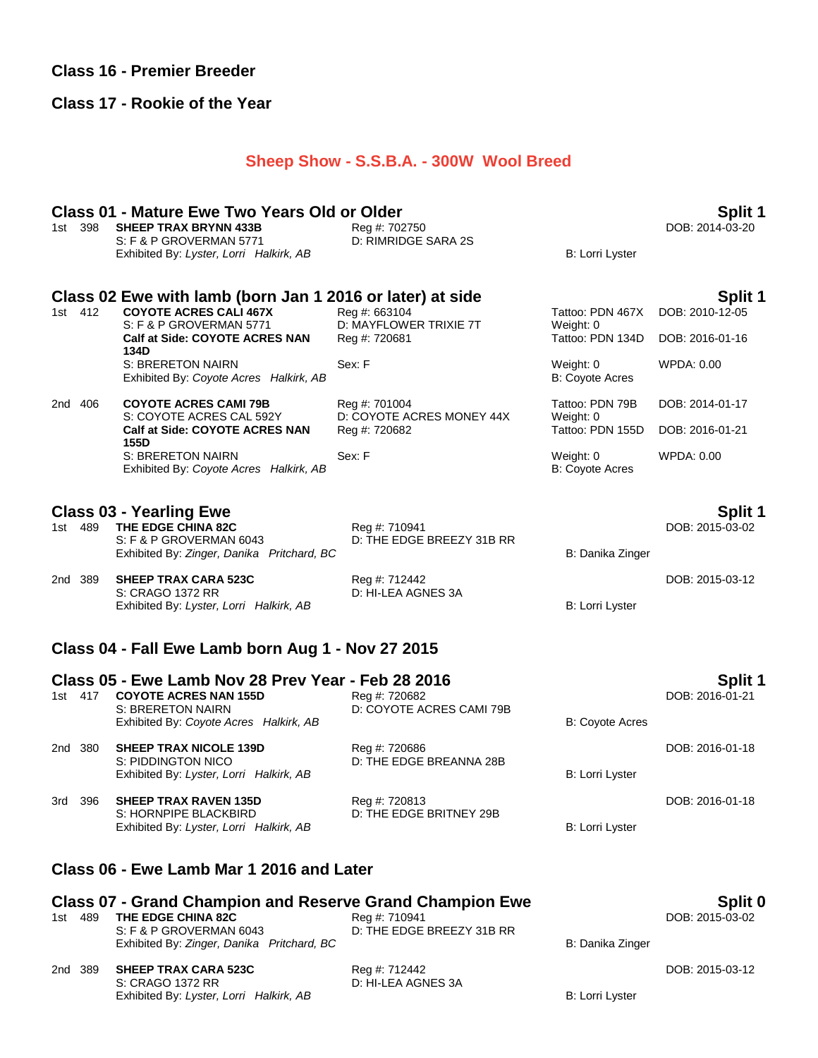# **Class 16 - Premier Breeder**

# **Class 17 - Rookie of the Year**

# **Sheep Show - S.S.B.A. - 300W Wool Breed**

|       | 1st 398 | <b>Class 01 - Mature Ewe Two Years Old or Older</b><br><b>SHEEP TRAX BRYNN 433B</b> | Reg #: 702750                              |                                     | Split 1<br>DOB: 2014-03-20        |
|-------|---------|-------------------------------------------------------------------------------------|--------------------------------------------|-------------------------------------|-----------------------------------|
|       |         | S: F & P GROVERMAN 5771<br>Exhibited By: Lyster, Lorri Halkirk, AB                  | D: RIMRIDGE SARA 2S                        | <b>B: Lorri Lyster</b>              |                                   |
|       |         | Class 02 Ewe with lamb (born Jan 1 2016 or later) at side                           |                                            |                                     | Split 1                           |
|       | 1st 412 | <b>COYOTE ACRES CALI 467X</b><br>S: F & P GROVERMAN 5771                            | Reg #: 663104<br>D: MAYFLOWER TRIXIE 7T    | Tattoo: PDN 467X<br>Weight: 0       | DOB: 2010-12-05                   |
|       |         | Calf at Side: COYOTE ACRES NAN<br>134D                                              | Reg #: 720681                              | Tattoo: PDN 134D                    | DOB: 2016-01-16                   |
|       |         | S: BRERETON NAIRN<br>Exhibited By: Coyote Acres Halkirk, AB                         | Sex: F                                     | Weight: 0<br><b>B: Coyote Acres</b> | <b>WPDA: 0.00</b>                 |
|       | 2nd 406 | <b>COYOTE ACRES CAMI 79B</b><br>S: COYOTE ACRES CAL 592Y                            | Reg #: 701004<br>D: COYOTE ACRES MONEY 44X | Tattoo: PDN 79B<br>Weight: 0        | DOB: 2014-01-17                   |
|       |         | Calf at Side: COYOTE ACRES NAN<br>155D                                              | Reg #: 720682                              | Tattoo: PDN 155D                    | DOB: 2016-01-21                   |
|       |         | S: BRERETON NAIRN<br>Exhibited By: Coyote Acres Halkirk, AB                         | Sex: F                                     | Weight: 0<br><b>B: Coyote Acres</b> | <b>WPDA: 0.00</b>                 |
| 1st l | 489     | <b>Class 03 - Yearling Ewe</b><br>THE EDGE CHINA 82C                                | Reg #: 710941                              |                                     | <b>Split 1</b><br>DOB: 2015-03-02 |
|       |         | S: F & P GROVERMAN 6043<br>Exhibited By: Zinger, Danika Pritchard, BC               | D: THE EDGE BREEZY 31B RR                  | B: Danika Zinger                    |                                   |
|       | 2nd 389 | <b>SHEEP TRAX CARA 523C</b><br>S: CRAGO 1372 RR                                     | Reg #: 712442<br>D: HI-LEA AGNES 3A        |                                     | DOB: 2015-03-12                   |
|       |         | Exhibited By: Lyster, Lorri Halkirk, AB                                             |                                            | <b>B: Lorri Lyster</b>              |                                   |
|       |         | Class 04 - Fall Ewe Lamb born Aug 1 - Nov 27 2015                                   |                                            |                                     |                                   |
|       |         | Class 05 - Ewe Lamb Nov 28 Prev Year - Feb 28 2016                                  |                                            |                                     | Split 1                           |
|       | 1st 417 | <b>COYOTE ACRES NAN 155D</b><br><b>S: BRERETON NAIRN</b>                            | Reg #: 720682<br>D: COYOTE ACRES CAMI 79B  |                                     | DOB: 2016-01-21                   |
|       |         | Exhibited By: Coyote Acres Halkirk, AB                                              |                                            | <b>B: Coyote Acres</b>              |                                   |
|       | 2nd 380 | <b>SHEEP TRAX NICOLE 139D</b><br>S: PIDDINGTON NICO                                 | Reg #: 720686<br>D: THE EDGE BREANNA 28B   |                                     | DOB: 2016-01-18                   |
|       |         | Exhibited By: Lyster, Lorri Halkirk, AB                                             |                                            | B: Lorri Lyster                     |                                   |
|       | 3rd 396 | <b>SHEEP TRAX RAVEN 135D</b>                                                        | Reg #: 720813                              |                                     | DOB: 2016-01-18                   |
|       |         | S: HORNPIPE BLACKBIRD<br>Exhibited By: Lyster, Lorri Halkirk, AB                    | D: THE EDGE BRITNEY 29B                    | B: Lorri Lyster                     |                                   |
|       |         | Class 06 - Ewe Lamb Mar 1 2016 and Later                                            |                                            |                                     |                                   |
|       |         | <b>Class 07 - Grand Champion and Reserve Grand Champion Ewe</b>                     |                                            |                                     | Split 0                           |
|       | 1st 489 | THE EDGE CHINA 82C<br>S: F & P GROVERMAN 6043                                       | Reg #: 710941<br>D: THE EDGE BREEZY 31B RR |                                     | DOB: 2015-03-02                   |
|       |         | Exhibited By: Zinger, Danika Pritchard, BC                                          |                                            | B: Danika Zinger                    |                                   |
|       | 2nd 389 | <b>SHEEP TRAX CARA 523C</b><br>S: CRAGO 1372 RR                                     | Reg #: 712442<br>D: HI-LEA AGNES 3A        |                                     | DOB: 2015-03-12                   |

Exhibited By: Lyster, Lorri Halkirk, AB B: Lorri Lyster